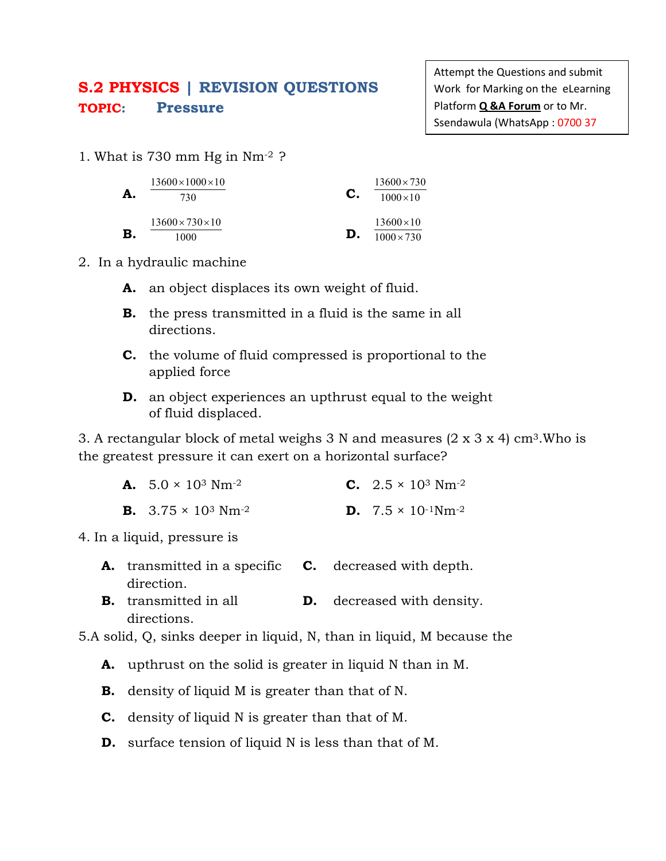## **S.2 PHYSICS | REVISION QUESTIONS TOPIC: Pressure**

Attempt the Questions and submit Work for Marking on the eLearning Platform **Q &A Forum** or to Mr. Ssendawula (WhatsApp : 0700 37

1. What is 730 mm Hg in Nm-2 ?

| А.        | $13600\times1000\times10$    |    | $13600 \times 730$ |  |
|-----------|------------------------------|----|--------------------|--|
|           | 730                          | C. | $1000 \times 10$   |  |
|           | $13600 \times 730 \times 10$ |    | $13600 \times 10$  |  |
| ${\bf B}$ | 1000                         | D. | $1000 \times 730$  |  |

- 2. In a hydraulic machine
	- **A.** an object displaces its own weight of fluid.
	- **B.** the press transmitted in a fluid is the same in all directions.
	- **C.** the volume of fluid compressed is proportional to the applied force
	- **D.** an object experiences an upthrust equal to the weight of fluid displaced.

3. A rectangular block of metal weighs 3 N and measures  $(2 \times 3 \times 4)$  cm<sup>3</sup>. Who is the greatest pressure it can exert on a horizontal surface?

| <b>A.</b> $5.0 \times 10^3$ Nm <sup>-2</sup>  | <b>C.</b> $2.5 \times 10^3$ Nm <sup>-2</sup>    |
|-----------------------------------------------|-------------------------------------------------|
| <b>B.</b> $3.75 \times 10^3$ Nm <sup>-2</sup> | <b>D.</b> $7.5 \times 10^{-1}$ Nm <sup>-2</sup> |

4. In a liquid, pressure is

- **A.** transmitted in a specific **C.** decreased with depth. direction.
- **B.** transmitted in all directions. **D.** decreased with density.

5.A solid, Q, sinks deeper in liquid, N, than in liquid, M because the

- **A.** upthrust on the solid is greater in liquid N than in M.
- **B.** density of liquid M is greater than that of N.
- **C.** density of liquid N is greater than that of M.
- **D.** surface tension of liquid N is less than that of M.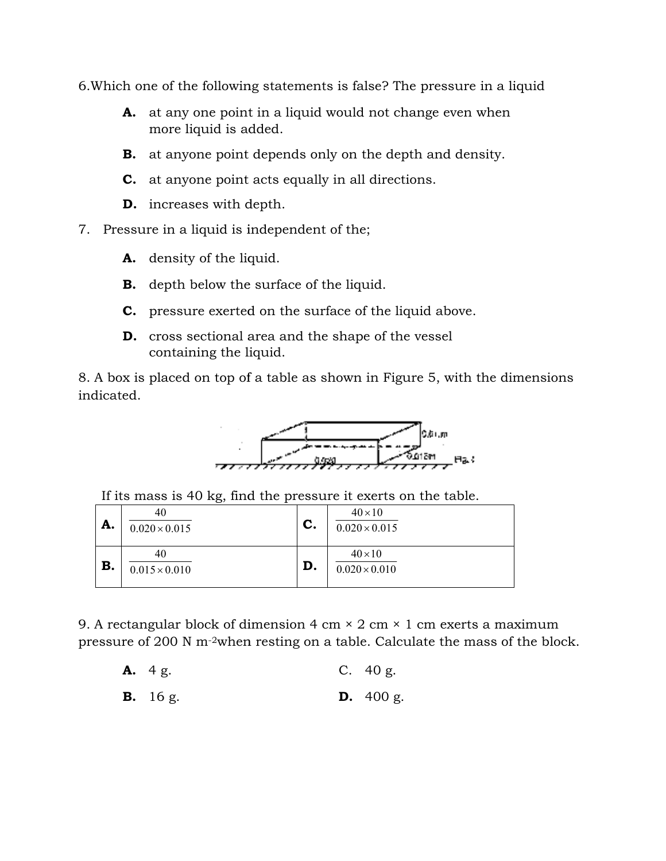6.Which one of the following statements is false? The pressure in a liquid

- **A.** at any one point in a liquid would not change even when more liquid is added.
- **B.** at anyone point depends only on the depth and density.
- **C.** at anyone point acts equally in all directions.
- **D.** increases with depth.
- 7. Pressure in a liquid is independent of the;
	- **A.** density of the liquid.
	- **B.** depth below the surface of the liquid.
	- **C.** pressure exerted on the surface of the liquid above.
	- **D.** cross sectional area and the shape of the vessel containing the liquid.

8. A box is placed on top of a table as shown in Figure 5, with the dimensions indicated.



If its mass is 40 kg, find the pressure it exerts on the table.

| A. | 40<br>$0.020 \times 0.015$ | $\mathbf{C}$ . | $40 \times 10$<br>$0.020 \times 0.015$ |
|----|----------------------------|----------------|----------------------------------------|
| B. | 40<br>$0.015 \times 0.010$ | D.             | $40 \times 10$<br>$0.020 \times 0.010$ |

9. A rectangular block of dimension 4 cm  $\times$  2 cm  $\times$  1 cm exerts a maximum pressure of 200 N m-2when resting on a table. Calculate the mass of the block. block of dimension 4 cm × 2 cm × 1 cm exerts a maximum.<br>N m<sup>-2</sup>when resting on a table. Calculate the mass of the C. 40 g.

- **A.** 4 g.
- **B.** 16 g. **D.** 400 g.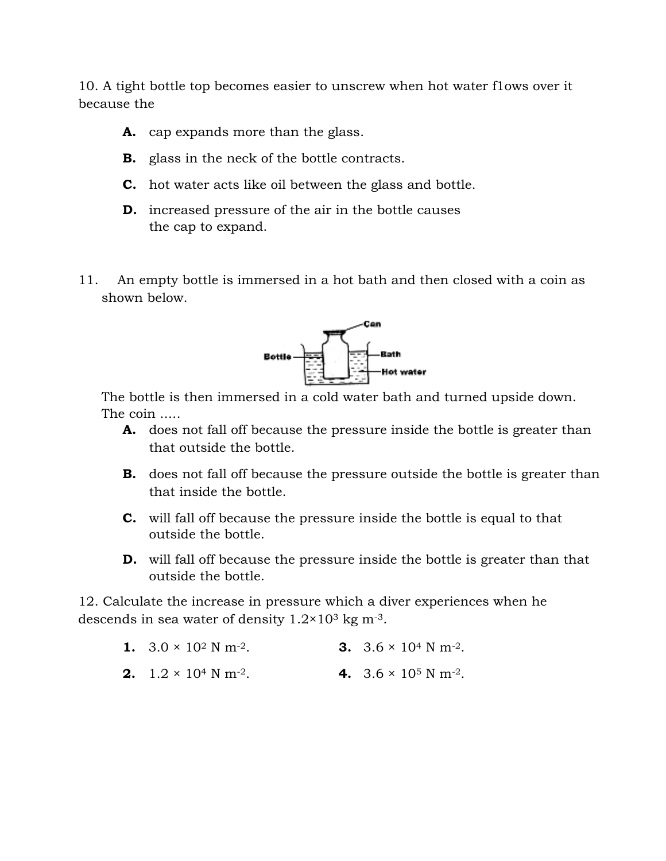10. A tight bottle top becomes easier to unscrew when hot water flows over it because the

- **A.** cap expands more than the glass.
- **A.** cap expands more than the glass.<br>**B.** glass in the neck of the bottle contracts.
- **C.** hot water acts like oil between the glass and bottle.
- **C.** hot water acts like oil between the glass and bottl<br>**D.** increased pressure of the air in the bottle causes the cap to expand.
- 11. An empty bottle is immersed in a hot bath and then closed with a coin as shown below.



The bottle is then immersed in a cold water bath and turned upside down. The coin .....

- **A.** does not fall off because the pressure inside the bottle is greater than that outside the bottle.
- **B.** does not fall off because the pressure outside the bottle is greater than that inside the bottle. **EXECUTE CONTROVERT THEORY CONTROVERT THEORY THEORY THEORY THEORY THEORY THEORY THEORY THEORY THEORY THEORY THEORY THEORY THEORY THEORY THEORY OF THE BOTTLE IS THE BOTTLE IS THE BOTTLE THAN fall off because the pressure in**
- **C.** will fall off because the pressure inside the bottle is equal to that outside the bottle.
- **D.** will fall off because the pressure inside the bottle is greater than that outside the bottle.

12. Calculate the increase in pressure which a diver experiences when he descends in sea water of density  $1.2 \times 10^3$  kg m<sup>-3</sup>.

| 1. $3.0 \times 10^2$ N m <sup>-2</sup> . | <b>3.</b> $3.6 \times 10^4$ N m <sup>-2</sup> . |
|------------------------------------------|-------------------------------------------------|
|                                          |                                                 |

**2.**  $1.2 \times 10^4$  N m<sup>-2</sup>. **4.** 3.6 × 10<sup>5</sup> N m-2.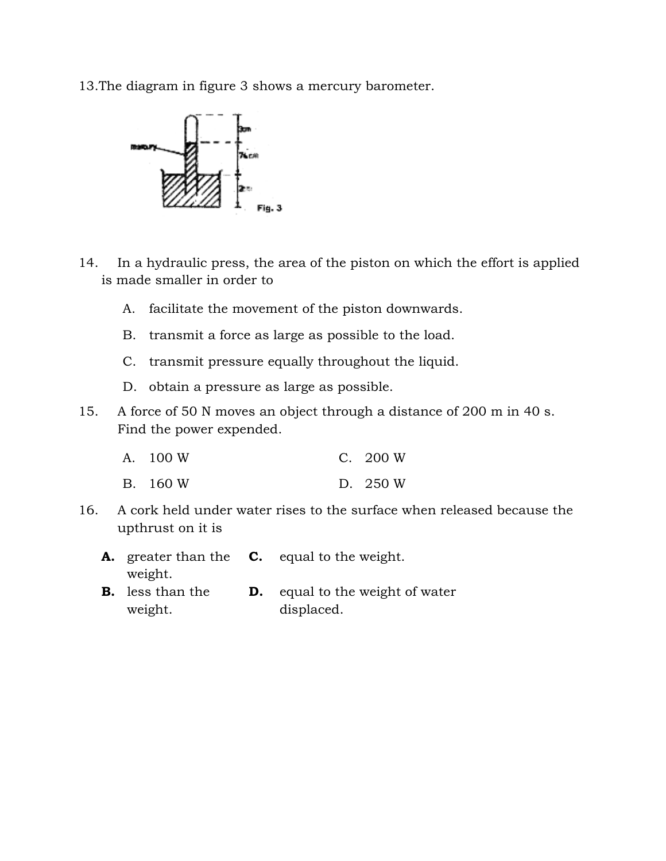13.The diagram in figure 3 shows a mercury barometer.



- 14. In a hydraulic press, the area of the piston on which the effort is applied is made smaller in order to
	- A. facilitate the movement of the piston downwards.
	- B. transmit a force as large as possible to the load.
	- C. transmit pressure equally throughout the liquid.
	- D. obtain a pressure as large as possible.
- 15. A force of 50 N moves an object through a distance of 200 m in 40 s. Find the power expended. In a hydraulic press, the area of the piston on which the effort is appl<br>made smaller in order to<br>A. facilitate the movement of the piston downwards.<br>B. transmit a force as large as possible to the load.<br>C. transmit pressu

| A. 100 W | C. 200 W |
|----------|----------|
| B. 160 W | D. 250 W |

- 16. A cork held under water rises to the surface when released because the upthrust on it is
	- **A.** greater than the **C.** equal to the weight. weight.
	- **B.** less than the weight. **D.** equal to the weight of water displaced.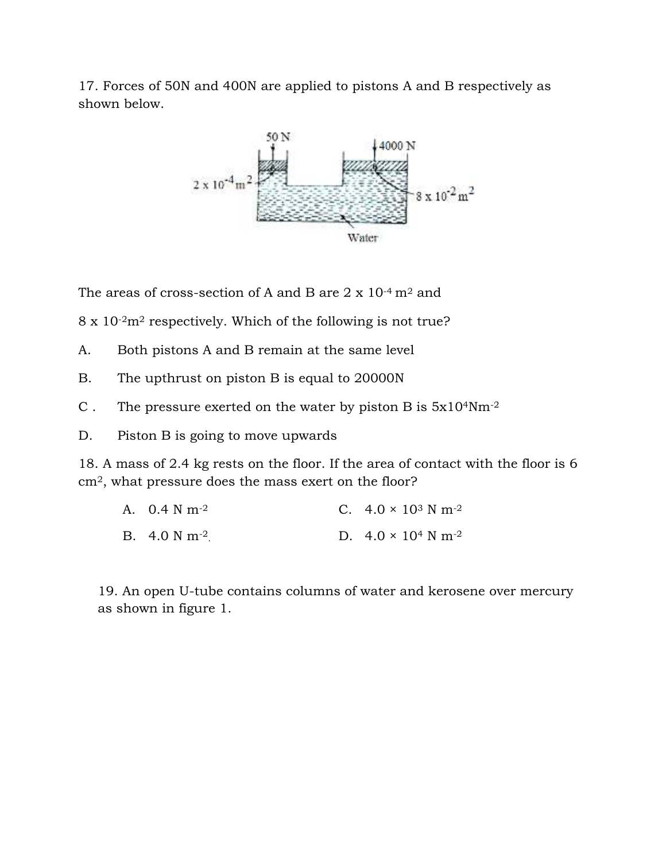17. Forces of 50N and 400N are applied to pistons A and B respectively as shown below.



The areas of cross-section of A and B are  $2 \times 10^{-4}$  m<sup>2</sup> and

8 x 10<sup>-2</sup>m<sup>2</sup> respectively. Which of the following is not true?

- A. Both pistons A and B remain at the same level
- B. The upthrust on piston B is equal to 20000N
- C. The pressure exerted on the water by piston B is  $5x10^4$ Nm<sup>-2</sup>

D. Piston B is going to move upwards

18. A mass of 2.4 kg rests on the floor. If the area of contact with the floor is 6 cm<sup>2</sup>, what pressure does the mass exert on the floor?

| A. $0.4 \text{ N m}^{-2}$   | C. $4.0 \times 10^3$ N m <sup>-2</sup> |
|-----------------------------|----------------------------------------|
| B. $4.0 \text{ N m}^{-2}$ . | D. $4.0 \times 10^4$ N m <sup>-2</sup> |

19. An open U-tube contains columns of water and kerosene over mercury as shown in figure 1.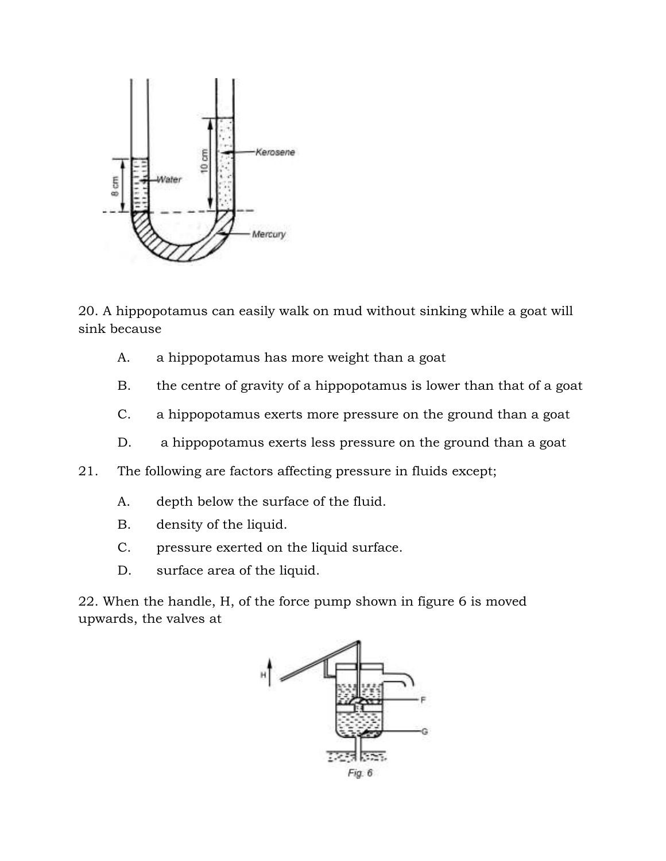

20. A hippopotamus can easily walk on mud without sinking while a goat will sink because

- A. a hippopotamus has more weight than a goat
- B. the centre of gravity of a hippopotamus is lower than that of a goat
- C. a hippopotamus exerts more pressure on the ground than a goat
- D. a hippopotamus exerts less pressure on the ground than a goat
- 21. The following are factors affecting pressure in fluids except;
	- A. depth below the surface of the fluid.
	- B. density of the liquid.
	- C. pressure exerted on the liquid surface.
	- D. surface area of the liquid.

22. When the handle, H, of the force pump shown in figure 6 is moved upwards, the valves at

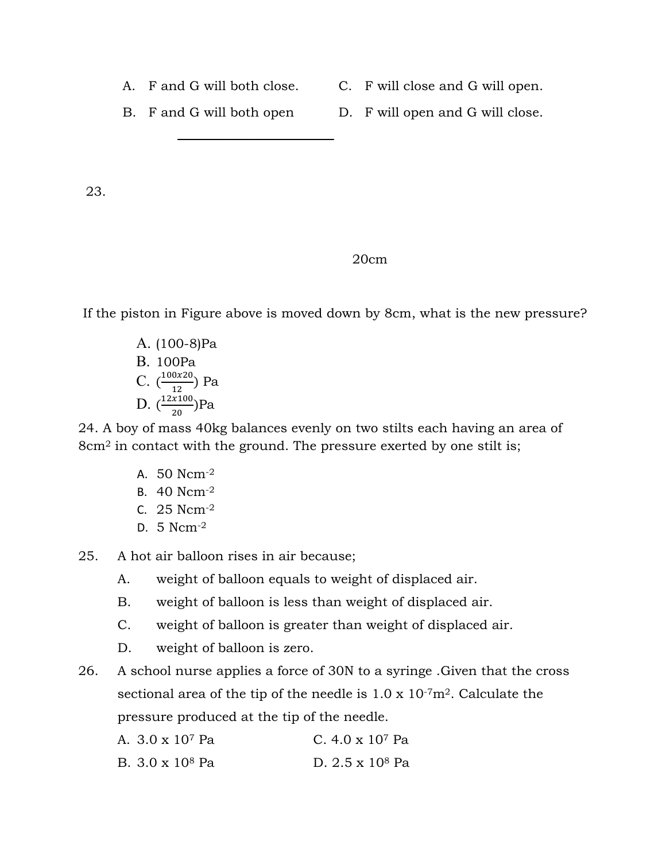- 
- A. F and G will both close. C. F will close and G will open.

B. F and G will both open D. F will open and G will close.

23.

## 20cm

If the piston in Figure above is moved down by 8cm, what is the new pressure?

A. (100-8)Pa B. 100Pa C.  $\left(\frac{100x20}{12}\right)$  $\frac{0.220}{12}$ ) Pa D.  $\left(\frac{12x100}{20}\right)$  $\frac{100}{20}$ )Pa

24. A boy of mass 40kg balances evenly on two stilts each having an area of 8cm<sup>2</sup> in contact with the ground. The pressure exerted by one stilt is;

- A. 50 Ncm-2
- B. 40 Ncm-2
- C. 25 Ncm-2
- D. 5 Ncm-2

25. A hot air balloon rises in air because;

- A. weight of balloon equals to weight of displaced air.
- B. weight of balloon is less than weight of displaced air.
- C. weight of balloon is greater than weight of displaced air.
- D. weight of balloon is zero.
- 26. A school nurse applies a force of 30N to a syringe .Given that the cross sectional area of the tip of the needle is  $1.0 \times 10^{-7}$ m<sup>2</sup>. Calculate the pressure produced at the tip of the needle.

| A. 3.0 x 10 <sup>7</sup> Pa | C. $4.0 \times 10^7$ Pa |
|-----------------------------|-------------------------|
| B. 3.0 x 10 <sup>8</sup> Pa | D. $2.5 \times 10^8$ Pa |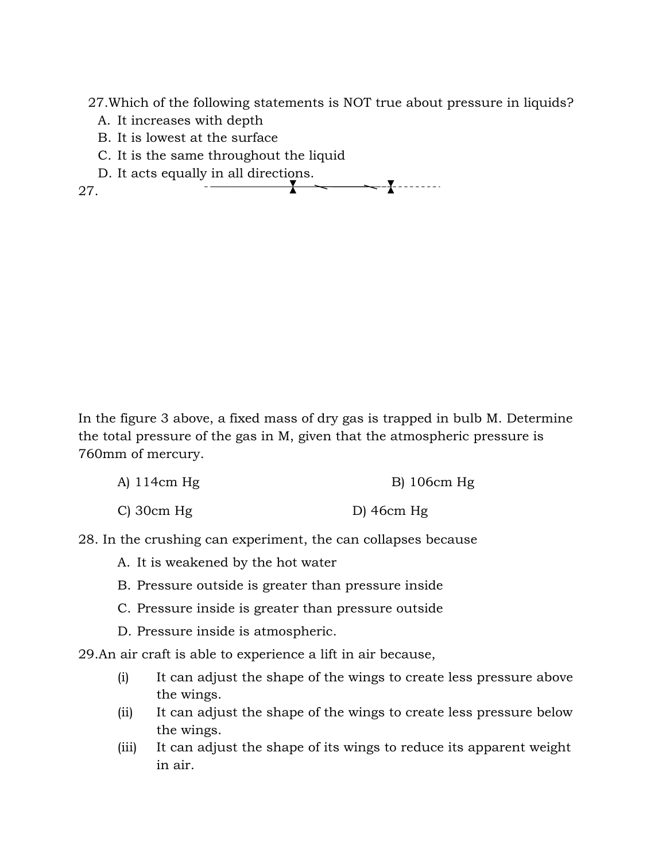27.Which of the following statements is NOT true about pressure in liquids?

- A. It increases with depth
- B. It is lowest at the surface
- C. It is the same throughout the liquid
- D. It acts equally in all directions.

27.

In the figure 3 above, a fixed mass of dry gas is trapped in bulb M. Determine the total pressure of the gas in M, given that the atmospheric pressure is 760mm of mercury.

- A) 114cm Hg B) 106cm Hg
- C) 30cm Hg D) 46cm Hg
- 28. In the crushing can experiment, the can collapses because
	- A. It is weakened by the hot water
	- B. Pressure outside is greater than pressure inside
	- C. Pressure inside is greater than pressure outside
	- D. Pressure inside is atmospheric.

29.An air craft is able to experience a lift in air because,

- (i) It can adjust the shape of the wings to create less pressure above the wings.
- (ii) It can adjust the shape of the wings to create less pressure below the wings.
- (iii) It can adjust the shape of its wings to reduce its apparent weight in air.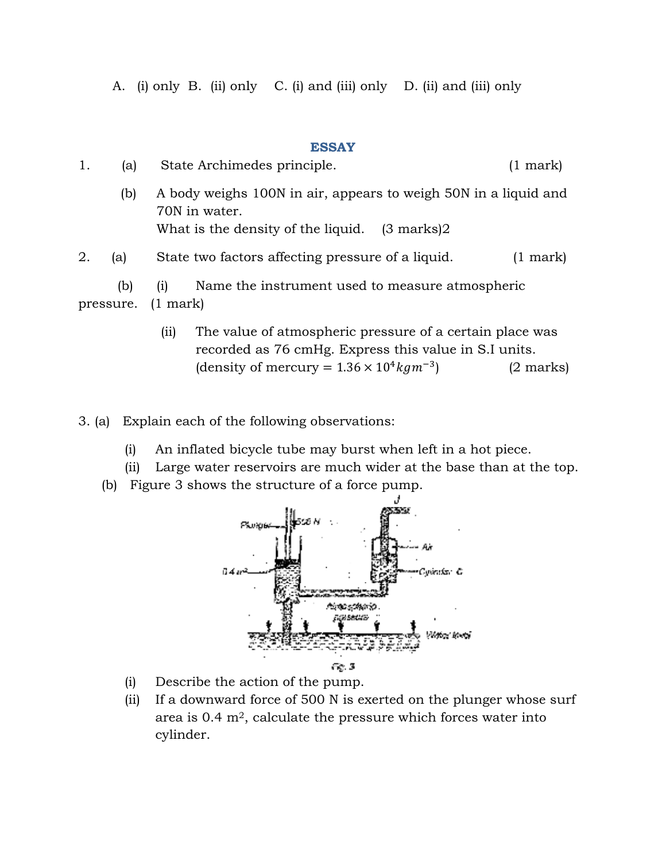A. (i) only B. (ii) only (ii) only C. (i) and (iii) only D. (ii) and (iii) only

## **ESSAY**

|    |                  | A. (i) only B. (ii) only C. (i) and (iii) only D. (ii) and (iii) only                                                             |                    |
|----|------------------|-----------------------------------------------------------------------------------------------------------------------------------|--------------------|
|    |                  | <b>ESSAY</b>                                                                                                                      |                    |
| 1. | (a)              | State Archimedes principle.                                                                                                       | $(1 \text{ mark})$ |
|    | (b)              | A body weighs 100N in air, appears to weigh 50N in a liquid and<br>70N in water.<br>What is the density of the liquid. (3 marks)2 |                    |
| 2. | (a)              | State two factors affecting pressure of a liquid.                                                                                 | $(1 \text{ mark})$ |
|    | (b)<br>pressure. | Name the instrument used to measure atmospheric<br>(i)<br>$(1 \text{ mark})$                                                      |                    |
|    |                  | The value of atmospheric pressure of a certain place was<br>(ii)<br>recorded as 76 cmHg. Express this value in S.I units.         |                    |

- (ii) The value of atmospheric pressure of a certain place was recorded as 76 cmHg. Express this value in S.I units. (density of mercury =  $1.36 \times 10^4 kgm^{-3}$ ) (2 marks)
- 3. (a) Explain each of the following observations:
	- (i) An inflated bicycle tube may burst when left in a hot piece.
	- (ii) Large water reservoirs are much wider at the base than at the top.
	- (b) Figure 3 shows the structure of a force pump.



- (i) Describe the action of the pump.
- (ii) If a downward force of 500 N is exerted on the plunger whose surf area is  $0.4 \text{ m}^2$ , calculate the pressure which forces water into cylinder.